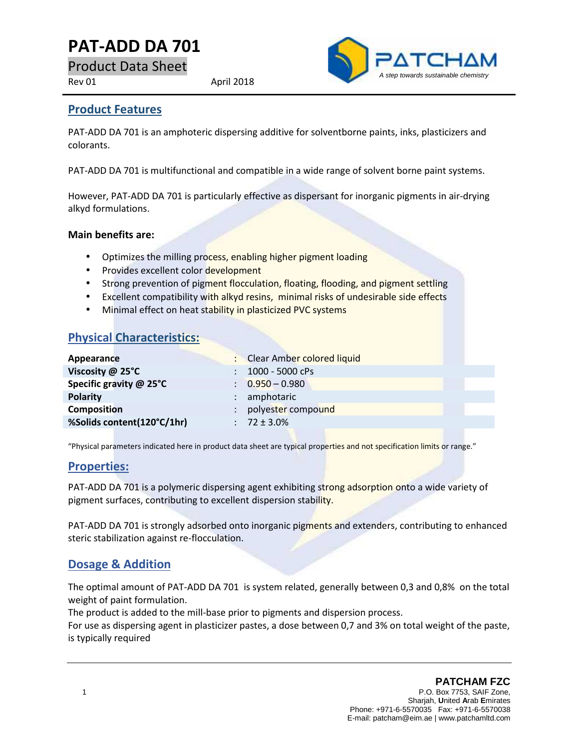# **PAT-ADD DA 701**

Product Data Sheet

Rev 01 April 2018



### **Product Features**

PAT-ADD DA 701 is an amphoteric dispersing additive for solventborne paints, inks, plasticizers and colorants.

PAT-ADD DA 701 is multifunctional and compatible in a wide range of solvent borne paint systems.

However, PAT-ADD DA 701 is particularly effective as dispersant for inorganic pigments in air-drying alkyd formulations.

#### **Main benefits are:**

- Optimizes the milling process, enabling higher pigment loading
- Provides excellent color development
- Strong prevention of pigment flocculation, floating, flooding, and pigment settling
- Excellent compatibility with alkyd resins, minimal risks of undesirable side effects
- Minimal effect on heat stability in plasticized PVC systems

### **Physical Characteristics:**

| Appearance                 | <b>Clear Amber colored liquid</b> |
|----------------------------|-----------------------------------|
| Viscosity @ 25°C           | 1000 - 5000 cPs                   |
| Specific gravity @ 25°C    | $\therefore$ 0.950 - 0.980        |
| <b>Polarity</b>            | amphotaric                        |
| <b>Composition</b>         | polyester compound                |
| %Solids content(120°C/1hr) | $: 72 \pm 3.0\%$                  |

"Physical parameters indicated here in product data sheet are typical properties and not specification limits or range."

### **Properties:**

PAT-ADD DA 701 is a polymeric dispersing agent exhibiting strong adsorption onto a wide variety of pigment surfaces, contributing to excellent dispersion stability.

PAT-ADD DA 701 is strongly adsorbed onto inorganic pigments and extenders, contributing to enhanced steric stabilization against re-flocculation.

# **Dosage & Addition**

The optimal amount of PAT-ADD DA 701 is system related, generally between 0,3 and 0,8% on the total weight of paint formulation.

The product is added to the mill-base prior to pigments and dispersion process.

For use as dispersing agent in plasticizer pastes, a dose between 0,7 and 3% on total weight of the paste, is typically required